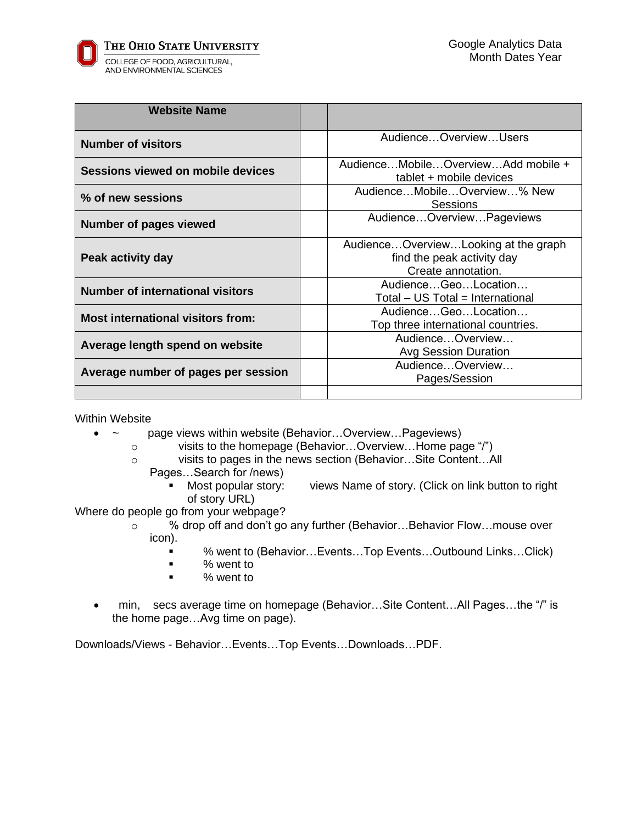AND ENVIRONMENTAL SCIENCES

| <b>Website Name</b>                      |                                                                                          |
|------------------------------------------|------------------------------------------------------------------------------------------|
| <b>Number of visitors</b>                | AudienceOverviewUsers                                                                    |
| Sessions viewed on mobile devices        | AudienceMobileOverviewAdd mobile +<br>tablet + mobile devices                            |
| % of new sessions                        | AudienceMobileOverview% New<br>Sessions                                                  |
| <b>Number of pages viewed</b>            | AudienceOverviewPageviews                                                                |
| Peak activity day                        | AudienceOverviewLooking at the graph<br>find the peak activity day<br>Create annotation. |
| <b>Number of international visitors</b>  | AudienceGeoLocation<br>Total - US Total = International                                  |
| <b>Most international visitors from:</b> | AudienceGeoLocation<br>Top three international countries.                                |
| Average length spend on website          | AudienceOverview<br>Avg Session Duration                                                 |
| Average number of pages per session      | AudienceOverview<br>Pages/Session                                                        |
|                                          |                                                                                          |

Within Website

- ~ page views within website (Behavior…Overview…Pageviews)
	- o visits to the homepage (Behavior…Overview…Home page "/")
	- o visits to pages in the news section (Behavior…Site Content…All
		- Pages…Search for /news)
			- Most popular story: views Name of story. (Click on link button to right of story URL)

Where do people go from your webpage?

- o % drop off and don't go any further (Behavior…Behavior Flow…mouse over icon).
	- % went to (Behavior...Events...Top Events...Outbound Links...Click)
	- % went to
	- % went to
- min, secs average time on homepage (Behavior...Site Content...All Pages...the "/" is the home page…Avg time on page).

Downloads/Views - Behavior…Events…Top Events…Downloads…PDF.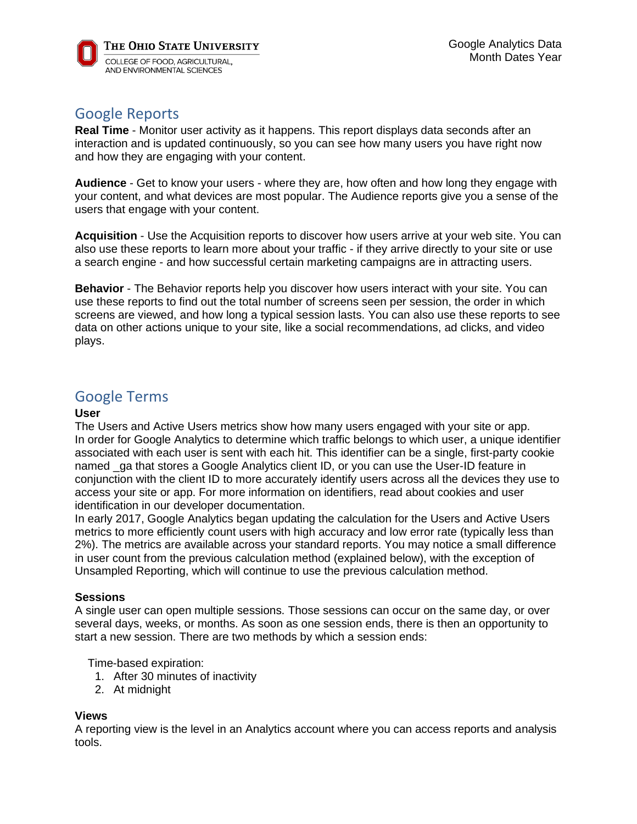## Google Reports

**Real Time** - Monitor user activity as it happens. This report displays data seconds after an interaction and is updated continuously, so you can see how many users you have right now and how they are engaging with your content.

**Audience** - Get to know your users - where they are, how often and how long they engage with your content, and what devices are most popular. The Audience reports give you a sense of the users that engage with your content.

**Acquisition** - Use the Acquisition reports to discover how users arrive at your web site. You can also use these reports to learn more about your traffic - if they arrive directly to your site or use a search engine - and how successful certain marketing campaigns are in attracting users.

**Behavior** - The Behavior reports help you discover how users interact with your site. You can use these reports to find out the total number of screens seen per session, the order in which screens are viewed, and how long a typical session lasts. You can also use these reports to see data on other actions unique to your site, like a social recommendations, ad clicks, and video plays.

# Google Terms

### **User**

The Users and Active Users metrics show how many users engaged with your site or app. In order for Google Analytics to determine which traffic belongs to which user, a unique identifier associated with each user is sent with each hit. This identifier can be a single, first-party cookie named ga that stores a Google Analytics client ID, or you can use the User-ID feature in conjunction with the client ID to more accurately identify users across all the devices they use to access your site or app. For more information on identifiers, read about cookies and user identification in our developer documentation.

In early 2017, Google Analytics began updating the calculation for the Users and Active Users metrics to more efficiently count users with high accuracy and low error rate (typically less than 2%). The metrics are available across your standard reports. You may notice a small difference in user count from the previous calculation method (explained below), with the exception of Unsampled Reporting, which will continue to use the previous calculation method.

### **Sessions**

A single user can open multiple sessions. Those sessions can occur on the same day, or over several days, weeks, or months. As soon as one session ends, there is then an opportunity to start a new session. There are two methods by which a session ends:

Time-based expiration:

- 1. After 30 minutes of inactivity
- 2. At midnight

### **Views**

A reporting view is the level in an Analytics account where you can access reports and analysis tools.